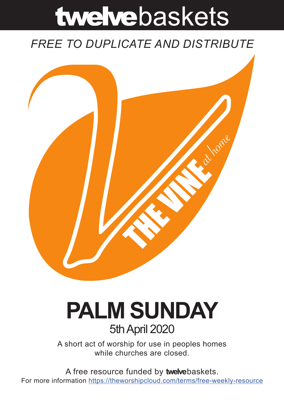# twelvebaskets

### *FREE TO DUPLICATE AND DISTRIBUTE*



## **PALM SUNDAY** 5th April 2020

A short act of worship for use in peoples homes while churches are closed.

A free resource funded by **twelve**baskets. For more information https://theworshipcloud.com/terms/free-weekly-resource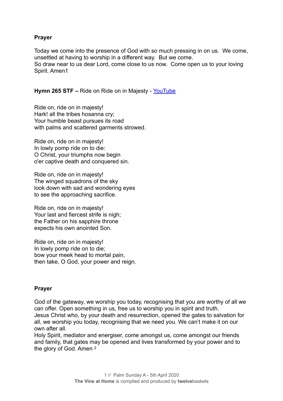#### **Prayer**

Today we come into the presence of God with so much pressing in on us. We come, unsettled at having to worship in a different way. But we come. So draw near to us dear Lord, come close to us now. Come open us to your loving Spirit. Amen1

**Hymn 265 STF –** Ride on Ride on in Majesty - [YouTube](https://youtu.be/Kio3aRZ84SM)

Ride on, ride on in majesty! Hark! all the tribes hosanna cry; Your humble beast pursues its road with palms and scattered garments strowed.

Ride on, ride on in majesty! In lowly pomp ride on to die: O Christ, your triumphs now begin o'er captive death and conquered sin.

Ride on, ride on in majesty! The winged squadrons of the sky look down with sad and wondering eyes to see the approaching sacrifice.

Ride on, ride on in majesty! Your last and fiercest strife is nigh; the Father on his sapphire throne expects his own anointed Son.

Ride on, ride on in majesty! In lowly pomp ride on to die; bow your meek head to mortal pain, then take, O God, your power and reign.

#### **Prayer**

God of the gateway, we worship you today, recognising that you are worthy of all we can offer. Open something in us, free us to worship you in spirit and truth. Jesus Christ who, by your death and resurrection, opened the gates to salvation for all, we worship you today, recognising that we need you. We can't make it on our own after all.

Holy Spirit, mediator and energiser, come amongst us, come amongst our friends and family, that gates may be opened and lives transformed by your power and to the glory of God. Amen 2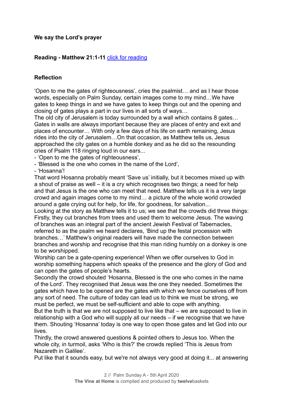#### **We say the Lord's prayer**

#### **Reading - Matthew 21:1-11** [click for reading](https://www.biblegateway.com/passage/?search=Matthew+21%3A1-11&version=NIV)

#### **Reflection**

'Open to me the gates of righteousness', cries the psalmist… and as I hear those words, especially on Palm Sunday, certain images come to my mind…We have gates to keep things in and we have gates to keep things out and the opening and closing of gates plays a part in our lives in all sorts of ways…

The old city of Jerusalem is today surrounded by a wall which contains 8 gates… Gates in walls are always important because they are places of entry and exit and places of encounter… With only a few days of his life on earth remaining, Jesus rides into the city of Jerusalem…On that occasion, as Matthew tells us, Jesus approached the city gates on a humble donkey and as he did so the resounding cries of Psalm 118 ringing loud in our ears...

- 'Open to me the gates of righteousness',

- 'Blessed is the one who comes in the name of the Lord',

- 'Hosanna'!

That word Hosanna probably meant 'Save us' initially, but it becomes mixed up with a shout of praise as well – it is a cry which recognises two things; a need for help and that Jesus is the one who can meet that need. Matthew tells us it is a very large crowd and again images come to my mind… a picture of the whole world crowded around a gate crying out for help, for life, for goodness, for salvation...

Looking at the story as Matthew tells it to us; we see that the crowds did three things: Firstly, they cut branches from trees and used them to welcome Jesus. The waving of branches was an integral part of the ancient Jewish Festival of Tabernacles, referred to as the psalm we heard declares, 'Bind up the festal procession with branches…' Matthew's original readers will have made the connection between branches and worship and recognise that this man riding humbly on a donkey is one to be worshipped.

Worship can be a gate-opening experience! When we offer ourselves to God in worship something happens which speaks of the presence and the glory of God and can open the gates of people's hearts.

Secondly the crowd shouted 'Hosanna, Blessed is the one who comes in the name of the Lord'. They recognised that Jesus was the one they needed. Sometimes the gates which have to be opened are the gates with which we fence ourselves off from any sort of need. The culture of today can lead us to think we must be strong, we must be perfect, we must be self-sufficient and able to cope with anything.

But the truth is that we are not supposed to live like that – we are supposed to live in relationship with a God who will supply all our needs – if we recognise that we have them. Shouting 'Hosanna' today is one way to open those gates and let God into our lives.

Thirdly, the crowd answered questions & pointed others to Jesus too. When the whole city, in turmoil, asks 'Who is this?' the crowds replied 'This is Jesus from Nazareth in Galilee'.

Put like that it sounds easy, but we're not always very good at doing it... at answering